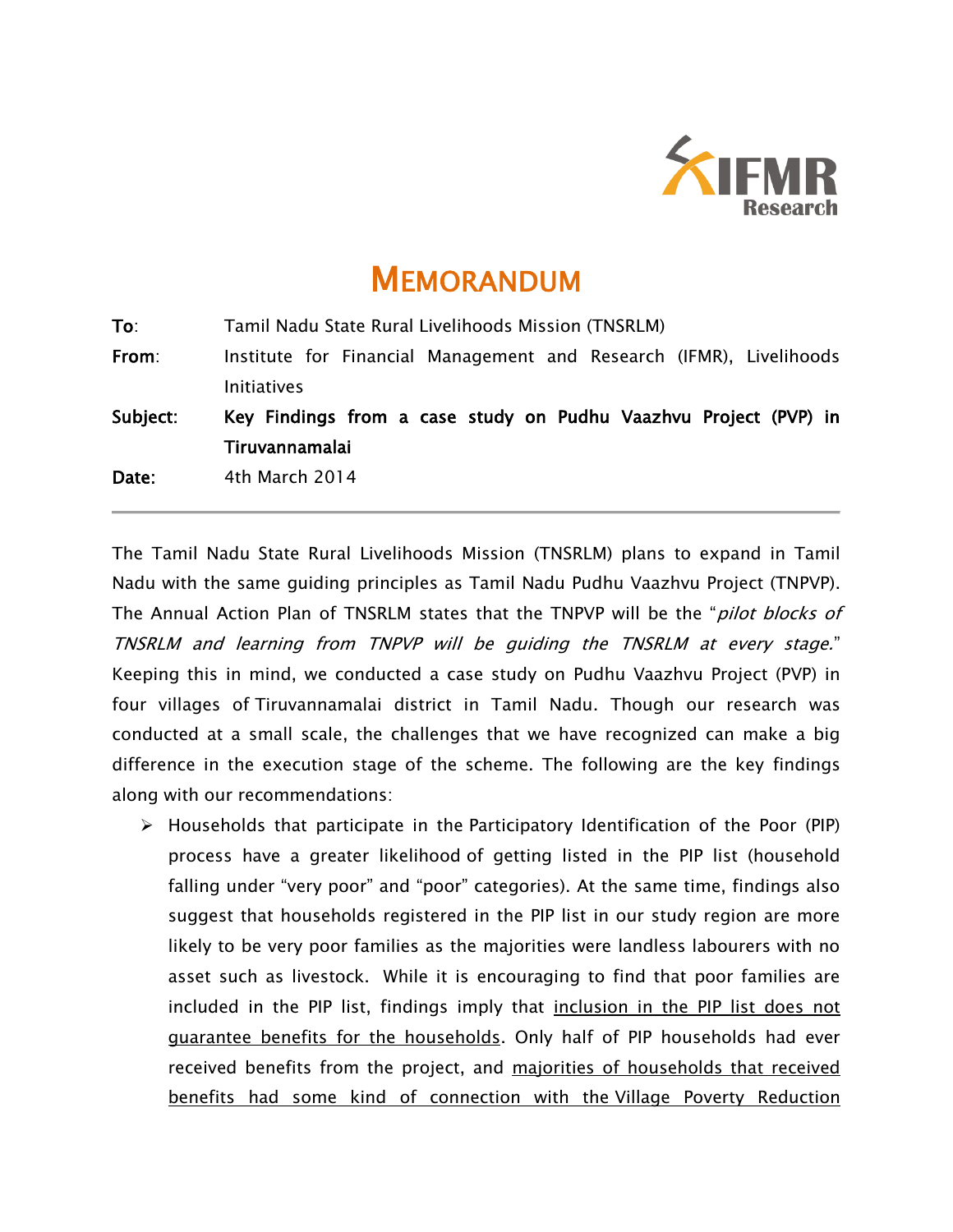

## MEMORANDUM

|  | To: | Tamil Nadu State Rural Livelihoods Mission (TNSRLM) |
|--|-----|-----------------------------------------------------|
|--|-----|-----------------------------------------------------|

From: Institute for Financial Management and Research (IFMR), Livelihoods Initiatives

Subject: Key Findings from a case study on Pudhu Vaazhvu Project (PVP) in Tiruvannamalai

Date: 4th March 2014

The Tamil Nadu State Rural Livelihoods Mission (TNSRLM) plans to expand in Tamil Nadu with the same guiding principles as Tamil Nadu Pudhu Vaazhvu Project (TNPVP). The Annual Action Plan of TNSRLM states that the TNPVP will be the "*pilot blocks of* TNSRLM and learning from TNPVP will be guiding the TNSRLM at every stage." Keeping this in mind, we conducted a case study on Pudhu Vaazhvu Project (PVP) in four villages of Tiruvannamalai district in Tamil Nadu. Though our research was conducted at a small scale, the challenges that we have recognized can make a big difference in the execution stage of the scheme. The following are the key findings along with our recommendations:

 $\triangleright$  Households that participate in the Participatory Identification of the Poor (PIP) process have a greater likelihood of getting listed in the PIP list (household falling under "very poor" and "poor" categories). At the same time, findings also suggest that households registered in the PIP list in our study region are more likely to be very poor families as the majorities were landless labourers with no asset such as livestock. While it is encouraging to find that poor families are included in the PIP list, findings imply that inclusion in the PIP list does not guarantee benefits for the households. Only half of PIP households had ever received benefits from the project, and majorities of households that received benefits had some kind of connection with the Village Poverty Reduction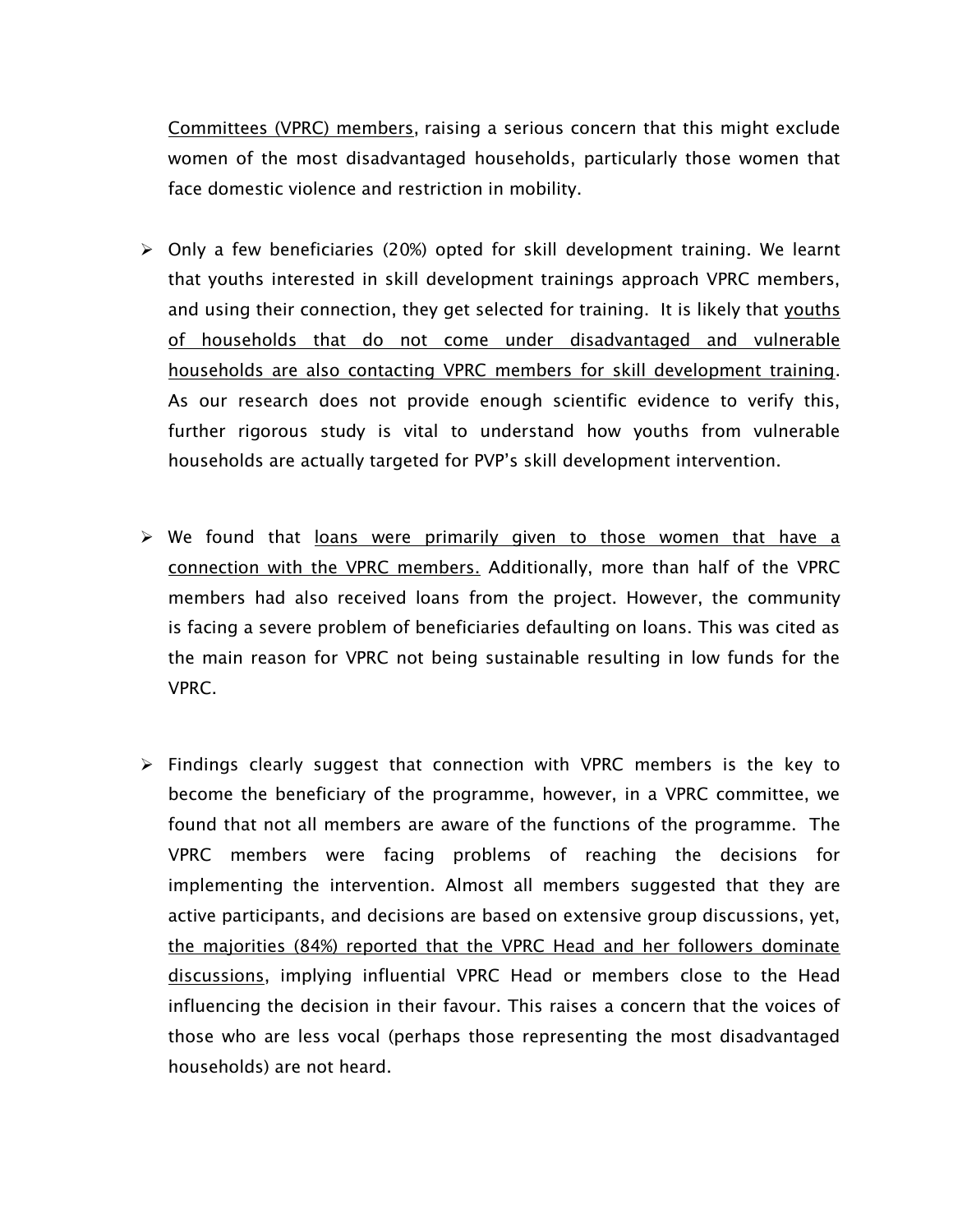Committees (VPRC) members, raising a serious concern that this might exclude women of the most disadvantaged households, particularly those women that face domestic violence and restriction in mobility.

- $\triangleright$  Only a few beneficiaries (20%) opted for skill development training. We learnt that youths interested in skill development trainings approach VPRC members, and using their connection, they get selected for training. It is likely that youths of households that do not come under disadvantaged and vulnerable households are also contacting VPRC members for skill development training. As our research does not provide enough scientific evidence to verify this, further rigorous study is vital to understand how youths from vulnerable households are actually targeted for PVP's skill development intervention.
- $\triangleright$  We found that loans were primarily given to those women that have a connection with the VPRC members. Additionally, more than half of the VPRC members had also received loans from the project. However, the community is facing a severe problem of beneficiaries defaulting on loans. This was cited as the main reason for VPRC not being sustainable resulting in low funds for the VPRC.
- $\triangleright$  Findings clearly suggest that connection with VPRC members is the key to become the beneficiary of the programme, however, in a VPRC committee, we found that not all members are aware of the functions of the programme. The VPRC members were facing problems of reaching the decisions for implementing the intervention. Almost all members suggested that they are active participants, and decisions are based on extensive group discussions, yet, the majorities (84%) reported that the VPRC Head and her followers dominate discussions, implying influential VPRC Head or members close to the Head influencing the decision in their favour. This raises a concern that the voices of those who are less vocal (perhaps those representing the most disadvantaged households) are not heard.